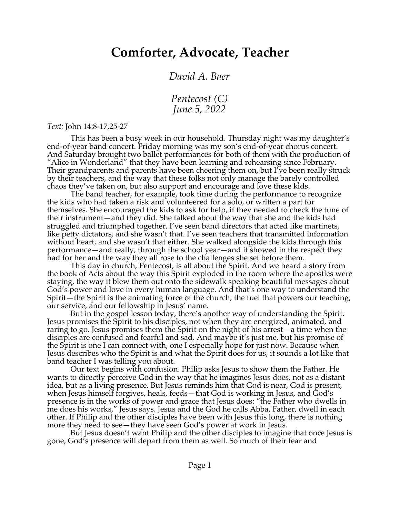## **Comforter, Advocate, Teacher**

*David A. Baer*

*Pentecost (C) June 5, 2022*

*Text:* John 14:8-17,25-27

This has been a busy week in our household. Thursday night was my daughter's end-of-year band concert. Friday morning was my son's end-of-year chorus concert. And Saturday brought two ballet performances for both of them with the production of "Alice in Wonderland" that they have been learning and rehearsing since February. Their grandparents and parents have been cheering them on, but I've been really struck by their teachers, and the way that these folks not only manage the barely controlled chaos they've taken on, but also support and encourage and love these kids.

The band teacher, for example, took time during the performance to recognize the kids who had taken a risk and volunteered for a solo, or written a part for themselves. She encouraged the kids to ask for help, if they needed to check the tune of their instrument—and they did. She talked about the way that she and the kids had struggled and triumphed together. I've seen band directors that acted like martinets, like petty dictators, and she wasn't that. I've seen teachers that transmitted information without heart, and she wasn't that either. She walked alongside the kids through this performance—and really, through the school year—and it showed in the respect they had for her and the way they all rose to the challenges she set before them.

This day in church, Pentecost, is all about the Spirit. And we heard a story from the book of Acts about the way this Spirit exploded in the room where the apostles were staying, the way it blew them out onto the sidewalk speaking beautiful messages about God's power and love in every human language. And that's one way to understand the Spirit—the Spirit is the animating force of the church, the fuel that powers our teaching, our service, and our fellowship in Jesus' name.

But in the gospel lesson today, there's another way of understanding the Spirit. Jesus promises the Spirit to his disciples, not when they are energized, animated, and raring to go. Jesus promises them the Spirit on the night of his arrest—a time when the disciples are confused and fearful and sad. And maybe it's just me, but his promise of the Spirit is one I can connect with, one I especially hope for just now. Because when Jesus describes who the Spirit is and what the Spirit does for us, it sounds a lot like that band teacher I was telling you about.

Our text begins with confusion. Philip asks Jesus to show them the Father. He wants to directly perceive God in the way that he imagines Jesus does, not as a distant idea, but as a living presence. But Jesus reminds him that God is near, God is present, when Jesus himself forgives, heals, feeds—that God is working in Jesus, and God's presence is in the works of power and grace that Jesus does: "the Father who dwells in me does his works," Jesus says. Jesus and the God he calls Abba, Father, dwell in each other. If Philip and the other disciples have been with Jesus this long, there is nothing more they need to see—they have seen God's power at work in Jesus.

But Jesus doesn't want Philip and the other disciples to imagine that once Jesus is gone, God's presence will depart from them as well. So much of their fear and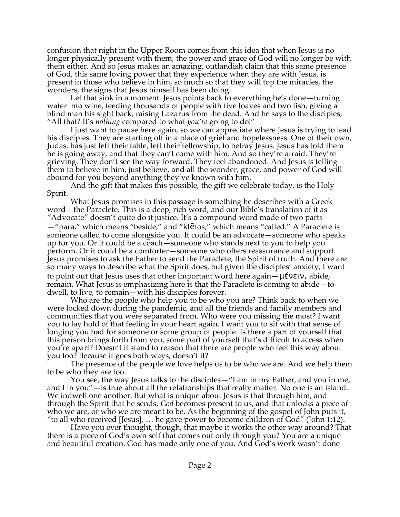confusion that night in the Upper Room comes from this idea that when Jesus is no longer physically present with them, the power and grace of God will no longer be with them either. And so Jesus makes an amazing, outlandish claim that this same presence of God, this same loving power that they experience when they are with Jesus, is present in those who believe in him, so much so that they will top the miracles, the wonders, the signs that Jesus himself has been doing.

Let that sink in a moment. Jesus points back to everything he's done—turning water into wine, feeding thousands of people with five loaves and two fish, giving a blind man his sight back, raising Lazarus from the dead. And he says to the disciples, "All that? It's *nothing* compared to what *you're* going to do!"

I just want to pause here again, so we can appreciate where Jesus is trying to lead his disciples. They are starting off in a place of grief and hopelessness. One of their own, Judas, has just left their table, left their fellowship, to betray Jesus. Jesus has told them he is going away, and that they can't come with him. And so they're afraid. They're grieving. They don't see the way forward. They feel abandoned. And Jesus is telling them to believe in him, just believe, and all the wonder, grace, and power of God will abound for you beyond anything they've known with him.

And the gift that makes this possible, the gift we celebrate today, is the Holy Spirit.

What Jesus promises in this passage is something he describes with a Greek word—the Paraclete. This is a deep, rich word, and our Bible's translation of it as "Advocate" doesn't quite do it justice. It's a compound word made of two parts

—"para," which means "beside," and "klētos," which means "called." A Paraclete is someone called to come alongside you. It could be an advocate—someone who speaks up for you. Or it could be a coach—someone who stands next to you to help you perform. Or it could be a comforter—someone who offers reassurance and support. Jesus promises to ask the Father to send the Paraclete, the Spirit of truth. And there are so many ways to describe what the Spirit does, but given the disciples' anxiety, I want to point out that Jesus uses that other important word here again—μένειν, abide, remain. What Jesus is emphasizing here is that the Paraclete is coming to abide—to dwell, to live, to remain—with his disciples forever.

Who are the people who help you to be who you are? Think back to when we were locked down during the pandemic, and all the friends and family members and communities that you were separated from. Who were you missing the most? I want you to lay hold of that feeling in your heart again. I want you to sit with that sense of longing you had for someone or some group of people. Is there a part of yourself that this person brings forth from you, some part of yourself that's difficult to access when you're apart? Doesn't it stand to reason that there are people who feel this way about you too? Because it goes both ways, doesn't it?

The presence of the people we love helps us to be who we are. And we help them to be who they are too.

You see, the way Jesus talks to the disciples—"I am in my Father, and you in me, and I in you"—is true about all the relationships that really matter. No one is an island. We indwell one another. But what is unique about Jesus is that through him, and through the Spirit that he sends, *God* becomes present to us, and that unlocks a piece of who we are, or who we are meant to be. As the beginning of the gospel of John puts it, "to all who received [Jesus], … he gave power to become children of God" (John 1:12).

Have you ever thought, though, that maybe it works the other way around? That there is a piece of God's own self that comes out only through you? You are a unique and beautiful creation. God has made only one of you. And God's work wasn't done